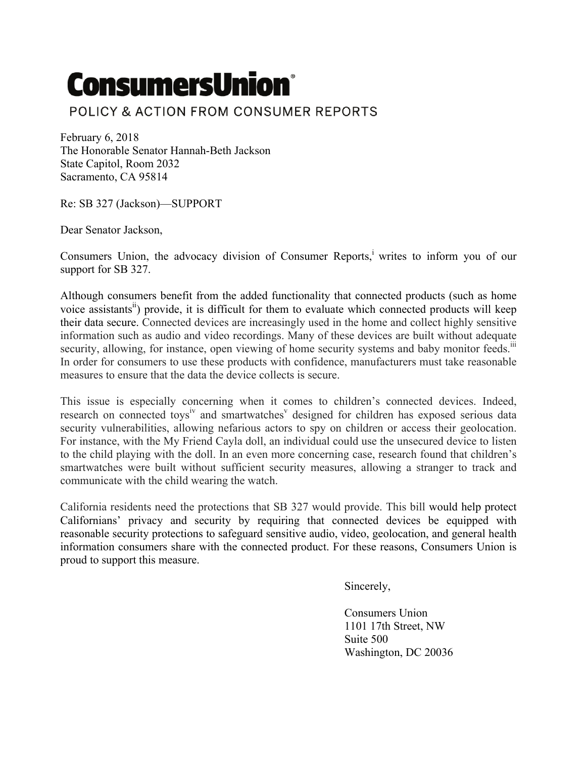## **ConsumersUnion®**

## POLICY & ACTION FROM CONSUMER REPORTS

February 6, 2018 The Honorable Senator Hannah-Beth Jackson State Capitol, Room 2032 Sacramento, CA 95814

Re: SB 327 (Jackson)—SUPPORT

Dear Senator Jackson,

Consumers Union, the advocacy division of Consumer Reports,<sup>i</sup> writes to inform you of our support for SB 327.

Although consumers benefit from the added functionality that connected products (such as home voice assistants<sup>"</sup>) provide, it is difficult for them to evaluate which connected products will keep their data secure. Connected devices are increasingly used in the home and collect highly sensitive information such as audio and video recordings. Many of these devices are built without adequate security, allowing, for instance, open viewing of home security systems and baby monitor feeds.<sup>111</sup> In order for consumers to use these products with confidence, manufacturers must take reasonable measures to ensure that the data the device collects is secure.

This issue is especially concerning when it comes to children's connected devices. Indeed, research on connected toys<sup>iv</sup> and smartwatches<sup>v</sup> designed for children has exposed serious data security vulnerabilities, allowing nefarious actors to spy on children or access their geolocation. For instance, with the My Friend Cayla doll, an individual could use the unsecured device to listen to the child playing with the doll. In an even more concerning case, research found that children's smartwatches were built without sufficient security measures, allowing a stranger to track and communicate with the child wearing the watch.

California residents need the protections that SB 327 would provide. This bill would help protect Californians' privacy and security by requiring that connected devices be equipped with reasonable security protections to safeguard sensitive audio, video, geolocation, and general health information consumers share with the connected product. For these reasons, Consumers Union is proud to support this measure.

Sincerely,

Consumers Union 1101 17th Street, NW Suite 500 Washington, DC 20036